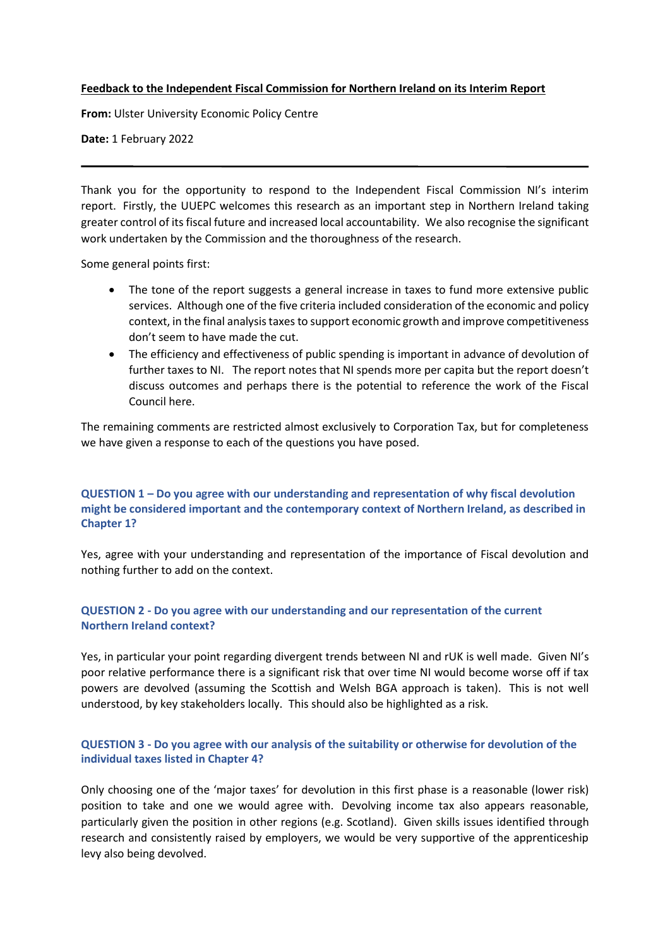#### **Feedback to the Independent Fiscal Commission for Northern Ireland on its Interim Report**

**From:** Ulster University Economic Policy Centre

**Date:** 1 February 2022

Thank you for the opportunity to respond to the Independent Fiscal Commission NI's interim report. Firstly, the UUEPC welcomes this research as an important step in Northern Ireland taking greater control of its fiscal future and increased local accountability. We also recognise the significant work undertaken by the Commission and the thoroughness of the research.

Some general points first:

- The tone of the report suggests a general increase in taxes to fund more extensive public services. Although one of the five criteria included consideration of the economic and policy context, in the final analysis taxes to support economic growth and improve competitiveness don't seem to have made the cut.
- The efficiency and effectiveness of public spending is important in advance of devolution of further taxes to NI. The report notes that NI spends more per capita but the report doesn't discuss outcomes and perhaps there is the potential to reference the work of the Fiscal Council here.

The remaining comments are restricted almost exclusively to Corporation Tax, but for completeness we have given a response to each of the questions you have posed.

## **QUESTION 1 – Do you agree with our understanding and representation of why fiscal devolution might be considered important and the contemporary context of Northern Ireland, as described in Chapter 1?**

Yes, agree with your understanding and representation of the importance of Fiscal devolution and nothing further to add on the context.

### **QUESTION 2 - Do you agree with our understanding and our representation of the current Northern Ireland context?**

Yes, in particular your point regarding divergent trends between NI and rUK is well made. Given NI's poor relative performance there is a significant risk that over time NI would become worse off if tax powers are devolved (assuming the Scottish and Welsh BGA approach is taken). This is not well understood, by key stakeholders locally. This should also be highlighted as a risk.

# **QUESTION 3 - Do you agree with our analysis of the suitability or otherwise for devolution of the individual taxes listed in Chapter 4?**

Only choosing one of the 'major taxes' for devolution in this first phase is a reasonable (lower risk) position to take and one we would agree with. Devolving income tax also appears reasonable, particularly given the position in other regions (e.g. Scotland). Given skills issues identified through research and consistently raised by employers, we would be very supportive of the apprenticeship levy also being devolved.